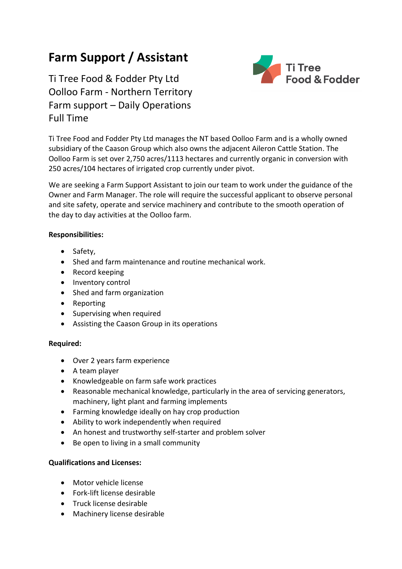## **Farm Support / Assistant**

Ti Tree Food & Fodder Pty Ltd Oolloo Farm - Northern Territory Farm support – Daily Operations Full Time



Ti Tree Food and Fodder Pty Ltd manages the NT based Oolloo Farm and is a wholly owned subsidiary of the Caason Group which also owns the adjacent Aileron Cattle Station. The Oolloo Farm is set over 2,750 acres/1113 hectares and currently organic in conversion with 250 acres/104 hectares of irrigated crop currently under pivot.

We are seeking a Farm Support Assistant to join our team to work under the guidance of the Owner and Farm Manager. The role will require the successful applicant to observe personal and site safety, operate and service machinery and contribute to the smooth operation of the day to day activities at the Oolloo farm.

## **Responsibilities:**

- Safety,
- Shed and farm maintenance and routine mechanical work.
- Record keeping
- Inventory control
- Shed and farm organization
- Reporting
- Supervising when required
- Assisting the Caason Group in its operations

## **Required:**

- Over 2 years farm experience
- A team player
- Knowledgeable on farm safe work practices
- Reasonable mechanical knowledge, particularly in the area of servicing generators, machinery, light plant and farming implements
- Farming knowledge ideally on hay crop production
- Ability to work independently when required
- An honest and trustworthy self-starter and problem solver
- Be open to living in a small community

## **Qualifications and Licenses:**

- Motor vehicle license
- Fork-lift license desirable
- Truck license desirable
- Machinery license desirable